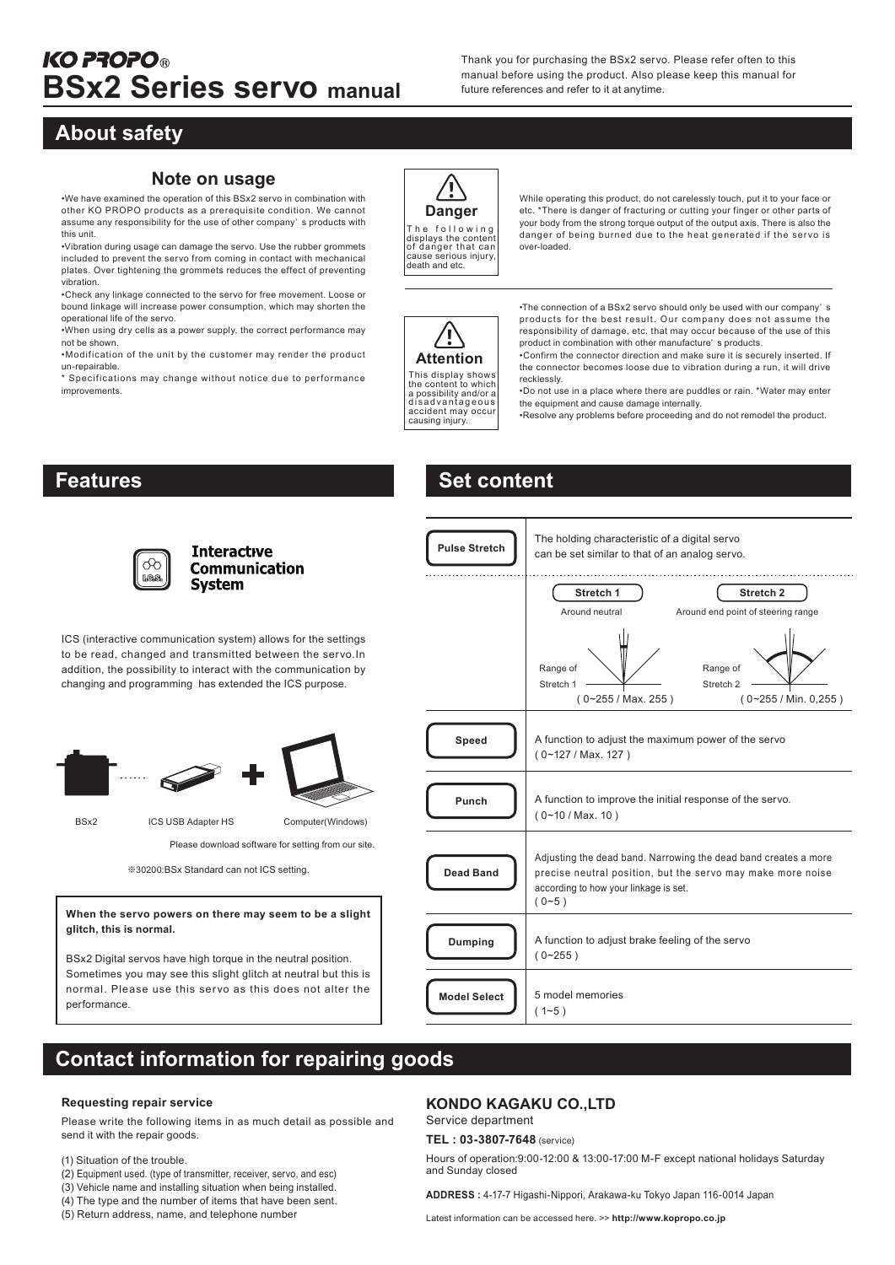Thank you for purchasing the BSx2 servo. Please refer often to this

# **About safety**

#### **Note on usage**

•We have examined the operation of this BSx2 servo in combination with other KO PROPO products as a prerequisite condition. We cannot assume any responsibility for the use of other company' s products with this unit.

•Vibration during usage can damage the servo. Use the rubber grommets included to prevent the servo from coming in contact with mechanical plates. Over tightening the grommets reduces the effect of preventing vibration.

•Check any linkage connected to the servo for free movement. Loose or bound linkage will increase power consumption, which may shorten the operational life of the servo.

•When using dry cells as a power supply, the correct performance may not be shown.

•Modification of the unit by the customer may render the product un-repairable.

\* Specifications may change without notice due to performance improvements.

While operating this product, do not carelessly touch, put it to your face or etc. \*There is danger of fracturing or cutting your finger or other parts of your body from the strong torque output of the output axis. There is also the danger of being burned due to the heat generated if the servo is over-loaded. T h e f o l l o w i n g displays the content of danger that can cause serious injury, death and etc.

\[ **Attention** This display shows the content to which a possibility and/or a d is ad vantage ous<br>accident may occur<br>causing injury.

**Danger**

**Set content**

•The connection of a BSx2 servo should only be used with our company' s products for the best result. Our company does not assume the responsibility of damage, etc. that may occur because of the use of this product in combination with other manufacture' s products.

•Confirm the connector direction and make sure it is securely inserted. If the connector becomes loose due to vibration during a run, it will drive recklessly.

•Do not use in a place where there are puddles or rain. \*Water may enter the equipment and cause damage internally.

•Resolve any problems before proceeding and do not remodel the product.

# **Features**



**Interactive Communication System** 

ICS (interactive communication system) allows for the settings to be read, changed and transmitted between the servo.In addition, the possibility to interact with the communication by changing and programming has extended the ICS purpose.



BSx2 ICS USB Adapter HS Computer(Windows)

Please download software for setting from our site.

※30200:BSx Standard can not ICS setting.

**When the servo powers on there may seem to be a slight glitch, this is normal.**

BSx2 Digital servos have high torque in the neutral position. Sometimes you may see this slight glitch at neutral but this is normal. Please use this servo as this does not alter the performance.

| <b>Pulse Stretch</b> | The holding characteristic of a digital servo<br>can be set similar to that of an analog servo.                                                                                    |
|----------------------|------------------------------------------------------------------------------------------------------------------------------------------------------------------------------------|
|                      | Stretch 1<br>Stretch <sub>2</sub><br>Around neutral<br>Around end point of steering range                                                                                          |
|                      | Range of<br>Range of<br>Stretch 1<br>Stretch <sub>2</sub><br>$(0-255/Max. 255)$<br>$(0 - 255 / Min. 0, 255)$                                                                       |
| Speed                | A function to adjust the maximum power of the servo<br>$(0-127 / Max. 127)$                                                                                                        |
| Punch                | A function to improve the initial response of the servo.<br>$(0-10/Max. 10)$                                                                                                       |
| <b>Dead Band</b>     | Adjusting the dead band. Narrowing the dead band creates a more<br>precise neutral position, but the servo may make more noise<br>according to how your linkage is set.<br>$(0-5)$ |
| Dumping              | A function to adjust brake feeling of the servo<br>$(0 - 255)$                                                                                                                     |
| <b>Model Select</b>  | 5 model memories<br>$(1 - 5)$                                                                                                                                                      |

# **Contact information for repairing goods**

#### **Requesting repair service**

Please write the following items in as much detail as possible and send it with the repair goods.

- (1) Situation of the trouble.
- (2) Equipment used. (type of transmitter, receiver, servo, and esc)
- (3) Vehicle name and installing situation when being installed.

(4) The type and the number of items that have been sent.

(5) Return address, name, and telephone number

#### **KONDO KAGAKU CO.,LTD**

Service department

**TEL : 03-3807-7648** (service)

Hours of operation:9:00-12:00 & 13:00-17:00 M-F except national holidays Saturday and Sunday closed

**ADDRESS :** 4-17-7 Higashi-Nippori, Arakawa-ku Tokyo Japan 116-0014 Japan

Latest information can be accessed here. >> **http://www.kopropo.co.jp**